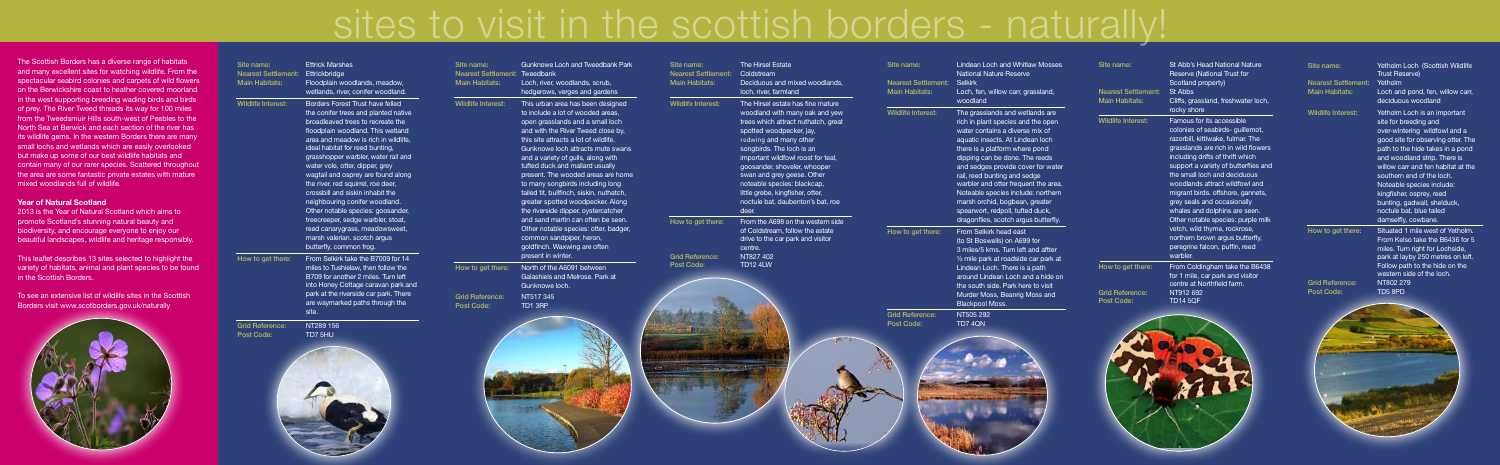# sites to visit in the scottish borders - naturally!

The Scottish Borders has a diverse range of habitats and many excellent sites for watching wildlife. From the spectacular seabird colonies and carpets of wild flowers on the Berwickshire coast to heather covered moorland in the west supporting breeding wading birds and birds of prey. The River Tweed threads its way for 100 miles from the Tweedsmuir Hills south-west of Peebles to the North Sea at Berwick and each section of the river has its wildlife gems. In the western Borders there are many small lochs and wetlands which are easily overlooked but make up some of our best wildlife habitats and contain many of our rarer species. Scattered throughout the area are some fantastic private estates with mature mixed woodlands full of wildlife.

## **Year of Natural Scotland**

2013 is the Year of Natural Scotland which aims to promote Scotland's stunning natural beauty and biodiversity, and encourage everyone to enjoy our beautiful landscapes, wildlife and heritage responsibly.

This leaflet describes 13 sites selected to highlight the variety of habitats, animal and plant species to be found in the Scottish Borders.

To see an extensive list of wildlife sites in the Scottish Borders visit www.scotborders.gov.uk/naturally



| Site name:<br><b>Nearest Settlement:</b><br><b>Main Habitats:</b> | <b>Ettrick Marshes</b><br>Ettrickbridge<br>Floodplain woodlands, meadow,<br>wetlands, river, conifer woodland.                                                                                                                                                                                                                                                                                                                                                                                                                                                                                                                    | Site name:<br><b>Nearest Settlement:</b><br><b>Main Habitats:</b> | <b>Gunknowe Loch and Tweedbank Park</b><br>Tweedbank<br>Loch, river, woodlands, scrub,<br>hedgerows, verges and gardens                                                                                                                                                                                                                                                                                                                                                                                                                                                                                                                              | Site i<br><b>Near</b><br>Main |
|-------------------------------------------------------------------|-----------------------------------------------------------------------------------------------------------------------------------------------------------------------------------------------------------------------------------------------------------------------------------------------------------------------------------------------------------------------------------------------------------------------------------------------------------------------------------------------------------------------------------------------------------------------------------------------------------------------------------|-------------------------------------------------------------------|------------------------------------------------------------------------------------------------------------------------------------------------------------------------------------------------------------------------------------------------------------------------------------------------------------------------------------------------------------------------------------------------------------------------------------------------------------------------------------------------------------------------------------------------------------------------------------------------------------------------------------------------------|-------------------------------|
| <b>Wildlife Interest:</b>                                         | Borders Forest Trust have felled<br>the conifer trees and planted native<br>broadleaved trees to recreate the<br>floodplain woodland. This wetland<br>area and meadow is rich in wildlife,<br>ideal habitat for reed bunting,<br>grasshopper warbler, water rail and<br>water vole, otter, dipper, grey<br>wagtail and osprey are found along<br>the river. red squirrel, roe deer,<br>crossbill and siskin inhabit the<br>neighbouring conifer woodland.<br>Other notable species: goosander,<br>treecreeper, sedge warbler, stoat,<br>reed canarygrass, meadowsweet,<br>marsh valerian. scotch argus<br>butterfly, common frog. | <b>Wildlife Interest:</b>                                         | This urban area has been designed<br>to include a lot of wooded areas,<br>open grasslands and a small loch<br>and with the River Tweed close by,<br>this site attracts a lot of wildlife.<br>Gunknowe loch attracts mute swans<br>and a variety of gulls, along with<br>tufted duck and mallard usually<br>present. The wooded areas are home<br>to many songbirds including long<br>tailed tit, bullfinch, siskin, nuthatch,<br>greater spotted woodpecker. Along<br>the riverside dipper, oystercatcher<br>and sand martin can often be seen.<br>Other notable species: otter, badger,<br>common sandpiper, heron,<br>goldfinch. Waxwing are often | Wild<br>How                   |
| How to get there:                                                 | From Selkirk take the B7009 for 14<br>miles to Tushielaw, then follow the<br>B709 for another 2 miles. Turn left<br>into Honey Cottage caravan park and<br>park at the riverside car park. There<br>are waymarked paths through the<br>site.                                                                                                                                                                                                                                                                                                                                                                                      | How to get there:<br><b>Grid Reference:</b><br>Post Code:         | present in winter.<br>North of the A6091 between<br>Galashiels and Melrose. Park at<br>Gunknowe loch.<br>NT517 345<br>TD1 3RP                                                                                                                                                                                                                                                                                                                                                                                                                                                                                                                        | Grid<br>Post                  |
| <b>Grid Reference:</b><br>Post Code:                              | NT289 156<br>TD7 5HU                                                                                                                                                                                                                                                                                                                                                                                                                                                                                                                                                                                                              |                                                                   |                                                                                                                                                                                                                                                                                                                                                                                                                                                                                                                                                                                                                                                      | 439                           |

| Site name:<br><b>Nearest Settlement:</b><br><b>Main Habitats:</b> | The Hirsel Estate<br>Coldstream<br>Deciduous and mixed woodlands,<br>loch, river, farmland                                                                                                                                                                                                                                                                                                                         | Site name:<br><b>Nearest Settlement:</b><br><b>Main Habitats:</b> | <b>Lindean Loch and Whitlaw Mosses</b><br><b>National Nature Reserve</b><br><b>Selkirk</b><br>Loch, fen, willow carr, grassland,                                                                                                                                                                                                                                                                                                                       | Site name:<br><b>Nearest Settlement:</b>                  | St Abb's Head National Nature<br>Reserve (National Trust for<br>Scotland property)<br>St Abbs                                                                                                                                                                                                                                                                                                                                                      | Site name:<br><b>Nearest Settlement:</b><br><b>Main Habitats:</b> | Yetholm Lo<br><b>Trust Reset</b><br>Yetholm<br>Loch and p                                                                                                                                   |
|-------------------------------------------------------------------|--------------------------------------------------------------------------------------------------------------------------------------------------------------------------------------------------------------------------------------------------------------------------------------------------------------------------------------------------------------------------------------------------------------------|-------------------------------------------------------------------|--------------------------------------------------------------------------------------------------------------------------------------------------------------------------------------------------------------------------------------------------------------------------------------------------------------------------------------------------------------------------------------------------------------------------------------------------------|-----------------------------------------------------------|----------------------------------------------------------------------------------------------------------------------------------------------------------------------------------------------------------------------------------------------------------------------------------------------------------------------------------------------------------------------------------------------------------------------------------------------------|-------------------------------------------------------------------|---------------------------------------------------------------------------------------------------------------------------------------------------------------------------------------------|
| <b>Wildlife Interest:</b>                                         | The Hirsel estate has fine mature<br>woodland with many oak and yew<br>trees which attract nuthatch, great<br>spotted woodpecker, jay,<br>redwing and many other<br>songbirds. The loch is an<br>important wildfowl roost for teal,<br>goosander, shoveler, whooper<br>swan and grey geese. Other<br>noteable species: blackcap,<br>little grebe, kingfisher, otter,<br>noctule bat, daubenton's bat, roe<br>deer. | <b>Wildlife Interest:</b>                                         | woodland<br>The grasslands and wetlands are<br>rich in plant species and the open<br>water contains a diverse mix of<br>aquatic insects. At Lindean loch<br>there is a platform where pond<br>dipping can be done. The reeds<br>and sedges provide cover for water<br>rail, reed bunting and sedge<br>warbler and otter frequent the area.<br>Noteable species include: northern<br>marsh orchid, bogbean, greater<br>spearwort, redpoll, tufted duck, | <b>Main Habitats:</b><br><b>Wildlife Interest:</b>        | Cliffs, grassland, freshwater loch,<br>rocky shore<br>Famous for its accessible<br>colonies of seabirds- guillemot,<br>razorbill, kittiwake, fulmar. The<br>grasslands are rich in wild flowers<br>including drifts of thrift which<br>support a variety of butterflies and<br>the small loch and deciduous<br>woodlands attract wildfowl and<br>migrant birds. offshore, gannets,<br>grey seals and occasionally<br>whales and dolphins are seen. | <b>Wildlife Interest:</b>                                         | deciduous<br>Yetholm Lo<br>site for bre<br>over-winter<br>good site fo<br>path to the<br>and woodla<br>willow carr<br>southern e<br>Noteable s<br>kingfisher,<br>bunting, ga<br>noctule bat |
| How to get there:<br><b>Grid Reference:</b><br>Post Code:         | From the A698 on the western side<br>of Coldstream, follow the estate<br>drive to the car park and visitor<br>centre.<br>NT827 402<br><b>TD12 4LW</b>                                                                                                                                                                                                                                                              | How to get there:                                                 | dragonflies, scotch argus butterfly.<br>From Selkirk head east<br>(to St Boswells) on A699 for<br>3 miles/5 kms. Turn left and aftter<br>1/2 mile park at roadside car park at<br>Lindean Loch. There is a path<br>around Lindean Loch and a hide on<br>the south side. Park here to visit<br>Murder Moss, Beanrig Moss and<br><b>Blackpool Moss.</b>                                                                                                  | How to get there:<br><b>Grid Reference:</b><br>Post Code: | Other notable species: purple milk<br>vetch, wild thyme, rockrose,<br>northern brown argus butterfly,<br>peregrine falcon, puffin, reed<br>warbler.<br>From Coldingham take the B6438<br>for 1 mile, car park and visitor<br>centre at Northfield farm.<br>NT912 692<br><b>TD14 5QF</b>                                                                                                                                                            | How to get there:<br><b>Grid Reference:</b><br>Post Code:         | damselfly,<br>Situated 1<br><b>From Kelso</b><br>miles. Turn<br>park at lay<br>Follow patl<br>western sid<br>NT802 279<br>TD5 8PD                                                           |
| the set as a later                                                |                                                                                                                                                                                                                                                                                                                                                                                                                    | <b>Grid Reference:</b><br>Post Code:                              | NT505 292<br>TD7 4QN                                                                                                                                                                                                                                                                                                                                                                                                                                   |                                                           |                                                                                                                                                                                                                                                                                                                                                                                                                                                    |                                                                   |                                                                                                                                                                                             |

### 1 Loch (Scottish Wildlife serve)

nd pond, fen, willow carr, ous woodland n Loch is an important breeding and intering wildfowl and a ite for observing otter. The the hide takes in a pond oodland strip. There is carr and fen habitat at the rn end of the loch. le species include: er, osprey, reed . gadwall, shelduck, bat, blue tailed v. cowbane. d 1 mile west of Yetholm. elso take the B6436 for 5

urn right for Lochside, layby 250 metres on left. path to the hide on the i side of the loch.